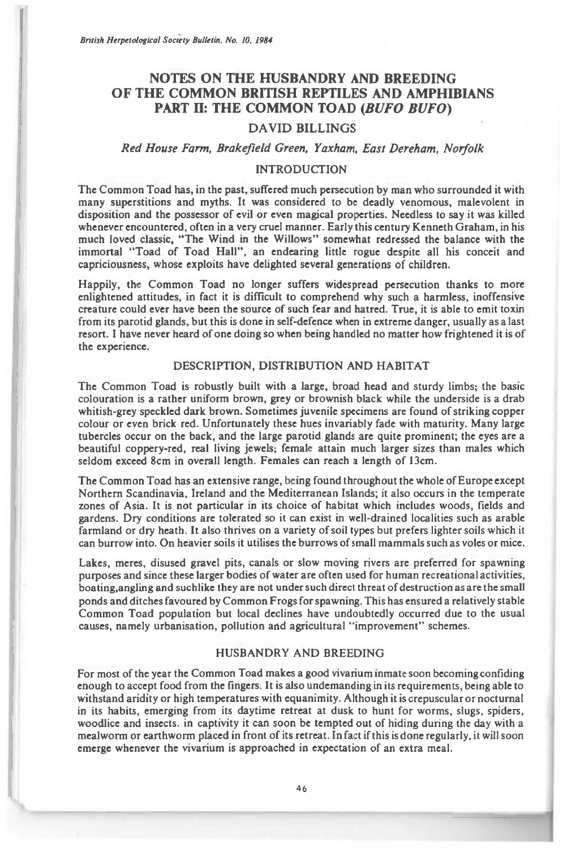*British Herpetological Society Bulletin, No. 10, 1984* 

# **NOTES ON THE HUSBANDRY AND BREEDING OF THE COMMON BRITISH REPTILES AND AMPHIBIANS PART II: THE COMMON TOAD** *(BUFO BUFO)*

## **DAVID BILLINGS**

## *Red House Farm, Brakefield Green, Yaxham, East Dereham, Norfolk*

### **INTRODUCTION**

**The Common Toad has, in the past, suffered much persecution by man who surrounded it with many superstitions and myths. It was considered to be deadly venomous, malevolent in disposition and the possessor of evil or even magical properties. Needless to say it was killed whenever encountered, often in a very cruel manner. Early this century Kenneth Graham, in his much loved classic, "The Wind in the Willows" somewhat redressed the balance with the immortal "Toad of Toad Hall", an endearing little rogue despite all his conceit and capriciousness, whose exploits have delighted several generations of children.** 

**Happily, the Common Toad no longer suffers widespread persecution thanks to more enlightened attitudes, in fact it is difficult to comprehend why such a harmless, inoffensive creature could ever have been the source of such fear and hatred. True, it is able to emit toxin from its parotid glands, but this is done in self-defence when in extreme danger, usually as a last resort. I have never heard of one doing so when being handled no matter how frightened it is of the experience.** 

#### **DESCRIPTION, DISTRIBUTION AND HABITAT**

**The Common Toad is robustly built with a large, broad head and sturdy limbs; the basic colouration is a rather uniform brown, grey or brownish black while the underside is a drab whitish-grey speckled dark brown. Sometimes juvenile specimens are found of striking copper colour or even brick red. Unfortunately these hues invariably fade with maturity. Many large tubercles occur on the back, and the large parotid glands are quite prominent; the eyes are a beautiful coppery-red, real living jewels; female attain much larger sizes than males which**  seldom exceed 8cm in overall length. Females can reach a length of 13cm.

**The Common Toad has an extensive range, being found throughout the whole of Europe except Northern Scandinavia, Ireland and the Mediterranean Islands; it also occurs in the temperate zones of Asia. It is not particular in its choice of habitat which includes woods, fields and gardens. Dry conditions are tolerated so it can exist in well-drained localities such as arable farmland or dry heath. It also thrives on a variety of soil types but prefers lighter soils which it can burrow into. On heavier soils it utilises the burrows of small mammals such as voles or mice.** 

**Lakes, meres, disused gravel pits, canals or slow moving rivers are preferred for spawning purposes and since these larger bodies of water are often used for human recreational activities, boating,angling and suchlike they are not under such direct threat of destruction as are the small ponds and ditches favoured by Common Frogs for spawning. This has ensured a relatively stable Common Toad population but local declines have undoubtedly occurred due to the usual causes, namely urbanisation, pollution and agricultural "improvement" schemes.** 

#### **HUSBANDRY AND BREEDING**

**For most of the year the Common Toad makes a good vivarium inmate soon becoming confiding enough to accept food from the fingers. It is also undemanding in its requirements, being able to withstand aridity or high temperatures with equanimity. Although it is crepuscular or nocturnal in its habits, emerging from its daytime retreat at dusk to hunt for worms, slugs, spiders, woodlice and insects. in captivity it can soon be tempted out of hiding during the day with a mealworm or earthworm placed in front of its retreat. In fact if this is done regularly, it will soon emerge whenever the vivarium is approached in expectation of an extra meal.**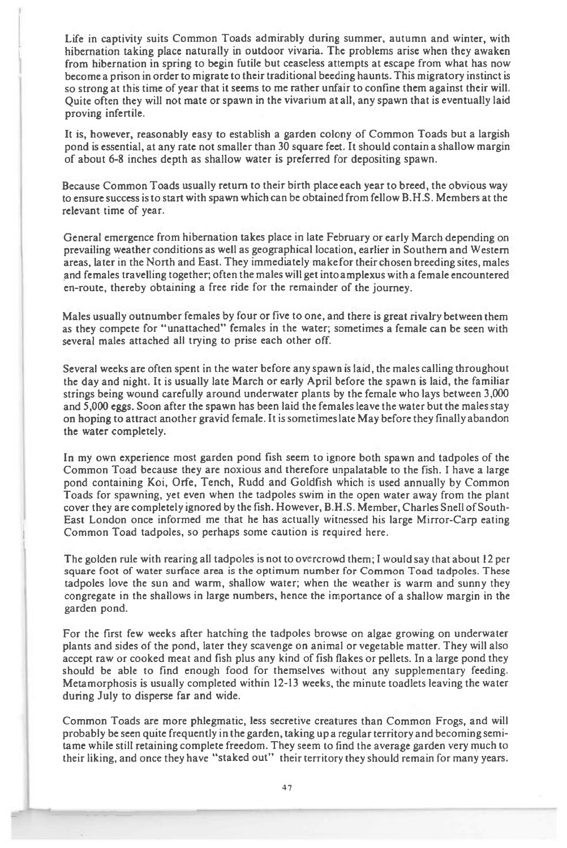Life in captivity suits Common Toads admirably during summer, autumn and winter, with hibernation taking place naturally in outdoor vivaria. The problems arise when they awaken from hibernation in spring to begin futile but ceaseless attempts at escape from what has now become a prison in order to migrate to their traditional beeding haunts. This migratory instinct is so strong at this time of year that it seems to me rather unfair to confine them against their will. Quite often they will not mate or spawn in the vivarium at all, any spawn that is eventually laid proving infertile.

It is, however, reasonably easy to establish a garden colony of Common Toads but a largish pond is essential, at any rate not smaller than 30 square feet. It should contain a shallow margin of about 6-8 inches depth as shallow water is preferred for depositing spawn.

Because Common Toads usually return to their birth place each year to breed, the obvious way to ensure success is to start with spawn which can be obtained from fellow B.H.S. Members at the relevant time of year.

General emergence from hibernation takes place in late February or early March depending on prevailing weather conditions as well as geographical location, earlier in Southern and Western areas, later in the North and East. They immediately make for their chosen breeding sites, males and females travelling together; often the males will get into amplexus with a female encountered en-route, thereby obtaining a free ride for the remainder of the journey.

Males usually outnumber females by four or five to one, and there is great rivalry between them as they compete for "unattached" females in the water; sometimes a female can be seen with several males attached all trying to prise each other off.

Several weeks are often spent in the water before any spawn is laid, the males calling throughout the day and night. It is usually late March or early April before the spawn is laid, the familiar strings being wound carefully around underwater plants by the female who lays between 3,000 and 5,000 eggs. Soon after the spawn has been laid the females leave the water but the males stay on hoping to attract another gravid female. It is sometimes late May before they finally abandon the water completely.

In my own experience most garden pond fish seem to ignore both spawn and tadpoles of the Common Toad because they are noxious and therefore unpalatable to the fish. I have a large pond containing Koi, Orfe, Tench, Rudd and Goldfish which is used annually by Common Toads for spawning, yet even when the tadpoles swim in the open water away from the plant cover they are completely ignored by the fish. However, B.H.S. Member, Charles Snell of South-East London once informed me that he has actually witnessed his large Mirror-Carp eating Common Toad tadpoles, so perhaps some caution is required here.

The golden rule with rearing all tadpoles is not to overcrowd them; I would say that about 12 per square foot of water surface area is the optimum number for Common Toad tadpoles. These tadpoles love the sun and warm, shallow water; when the weather is warm and sunny they congregate in the shallows in large numbers, hence the importance of a shallow margin in the garden pond.

For the first few weeks after hatching the tadpoles browse on algae growing on underwater plants and sides of the pond, later they scavenge on animal or vegetable matter. They will also accept raw or cooked meat and fish plus any kind of fish flakes or pellets. In a large pond they should be able to find enough food for themselves without any supplementary feeding. Metamorphosis is usually completed within 12-13 weeks, the minute toadlets leaving the water during July to disperse far and wide.

Common Toads are more phlegmatic, less secretive creatures than Common Frogs, and will probably be seen quite frequently in the garden, taking up a regular territory and becoming semitame while still retaining complete freedom. They seem to find the average garden very much to their liking, and once they have "staked out" their territory they should remain for many years.